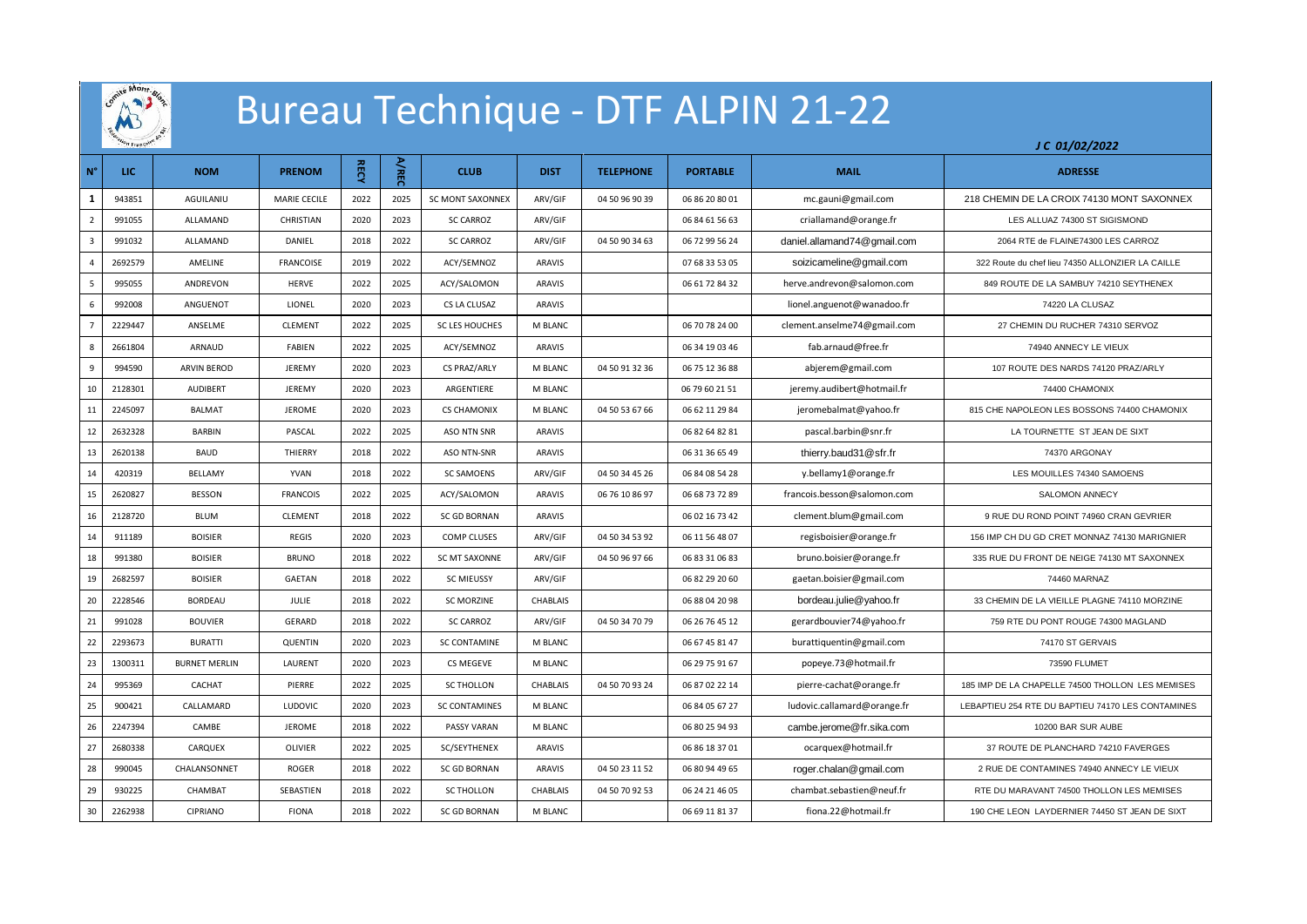

## **《 》 Bureau Technique - DTF ALPIN 21-22**

| $N^{\circ}$             | <b>LIC</b> | <b>NOM</b>           | <b>PRENOM</b>    | <b>RECY</b> | A/REC | <b>CLUB</b>             | <b>DIST</b>   | <b>TELEPHONE</b> | <b>PORTABLE</b> | <b>MAIL</b>                 | <b>ADRESSE</b>                                    |
|-------------------------|------------|----------------------|------------------|-------------|-------|-------------------------|---------------|------------------|-----------------|-----------------------------|---------------------------------------------------|
| 1                       | 943851     | AGUILANIU            | MARIE CECILE     | 2022        | 2025  | <b>SC MONT SAXONNEX</b> | ARV/GIF       | 04 50 96 90 39   | 06 86 20 80 01  | mc.gauni@gmail.com          | 218 CHEMIN DE LA CROIX 74130 MONT SAXONNEX        |
| $\overline{2}$          | 991055     | ALLAMAND             | CHRISTIAN        | 2020        | 2023  | <b>SC CARROZ</b>        | ARV/GIF       |                  | 06 84 61 56 63  | criallamand@orange.fr       | LES ALLUAZ 74300 ST SIGISMOND                     |
| $\overline{\mathbf{3}}$ | 991032     | ALLAMAND             | DANIEL           | 2018        | 2022  | <b>SC CARROZ</b>        | ARV/GIF       | 04 50 90 34 63   | 06 72 99 56 24  | daniel.allamand74@gmail.com | 2064 RTE de FLAINE74300 LES CARROZ                |
| $\overline{4}$          | 2692579    | AMELINE              | <b>FRANCOISE</b> | 2019        | 2022  | ACY/SEMNOZ              | ARAVIS        |                  | 07 68 33 53 05  | soizicameline@gmail.com     | 322 Route du chef lieu 74350 ALLONZIER LA CAILLE  |
| 5                       | 995055     | ANDREVON             | HERVE            | 2022        | 2025  | ACY/SALOMON             | ARAVIS        |                  | 06 61 72 84 32  | herve.andrevon@salomon.com  | 849 ROUTE DE LA SAMBUY 74210 SEYTHENEX            |
| 6                       | 992008     | ANGUENOT             | LIONEL           | 2020        | 2023  | CS LA CLUSAZ            | <b>ARAVIS</b> |                  |                 | lionel.anguenot@wanadoo.fr  | 74220 LA CLUSAZ                                   |
| $\overline{7}$          | 2229447    | ANSELME              | CLEMENT          | 2022        | 2025  | <b>SC LES HOUCHES</b>   | M BLANC       |                  | 06 70 78 24 00  | clement.anselme74@gmail.com | 27 CHEMIN DU RUCHER 74310 SERVOZ                  |
| 8                       | 2661804    | ARNAUD               | FABIEN           | 2022        | 2025  | ACY/SEMNOZ              | ARAVIS        |                  | 06 34 19 03 46  | fab.arnaud@free.fr          | 74940 ANNECY LE VIEUX                             |
| 9                       | 994590     | <b>ARVIN BEROD</b>   | <b>JEREMY</b>    | 2020        | 2023  | CS PRAZ/ARLY            | M BLANC       | 04 50 91 32 36   | 06 75 12 36 88  | abjerem@gmail.com           | 107 ROUTE DES NARDS 74120 PRAZ/ARLY               |
| 10                      | 2128301    | AUDIBERT             | JEREMY           | 2020        | 2023  | ARGENTIERE              | M BLANC       |                  | 06 79 60 21 51  | jeremy.audibert@hotmail.fr  | 74400 CHAMONIX                                    |
| 11                      | 2245097    | <b>BALMAT</b>        | <b>JEROME</b>    | 2020        | 2023  | <b>CS CHAMONIX</b>      | M BLANC       | 04 50 53 67 66   | 06 62 11 29 84  | jeromebalmat@yahoo.fr       | 815 CHE NAPOLEON LES BOSSONS 74400 CHAMONIX       |
| 12                      | 2632328    | BARBIN               | PASCAL           | 2022        | 2025  | <b>ASO NTN SNR</b>      | ARAVIS        |                  | 06 82 64 82 81  | pascal.barbin@snr.fr        | LA TOURNETTE ST JEAN DE SIXT                      |
| 13                      | 2620138    | <b>BAUD</b>          | THIERRY          | 2018        | 2022  | <b>ASO NTN-SNR</b>      | ARAVIS        |                  | 06 31 36 65 49  | thierry.baud31@sfr.fr       | 74370 ARGONAY                                     |
| 14                      | 420319     | BELLAMY              | <b>YVAN</b>      | 2018        | 2022  | <b>SC SAMOENS</b>       | ARV/GIF       | 04 50 34 45 26   | 06 84 08 54 28  | y.bellamy1@orange.fr        | LES MOUILLES 74340 SAMOENS                        |
| 15                      | 2620827    | <b>BESSON</b>        | <b>FRANCOIS</b>  | 2022        | 2025  | ACY/SALOMON             | ARAVIS        | 06 76 10 86 97   | 06 68 73 72 89  | francois.besson@salomon.com | SALOMON ANNECY                                    |
| 16                      | 2128720    | <b>BLUM</b>          | <b>CLEMENT</b>   | 2018        | 2022  | <b>SC GD BORNAN</b>     | ARAVIS        |                  | 06 02 16 73 42  | clement.blum@gmail.com      | 9 RUE DU ROND POINT 74960 CRAN GEVRIER            |
| 14                      | 911189     | <b>BOISIER</b>       | REGIS            | 2020        | 2023  | <b>COMP CLUSES</b>      | ARV/GIF       | 04 50 34 53 92   | 06 11 56 48 07  | regisboisier@orange.fr      | 156 IMP CH DU GD CRET MONNAZ 74130 MARIGNIER      |
| 18                      | 991380     | <b>BOISIER</b>       | <b>BRUNO</b>     | 2018        | 2022  | <b>SC MT SAXONNE</b>    | ARV/GIF       | 04 50 96 97 66   | 06 83 31 06 83  | bruno.boisier@orange.fr     | 335 RUE DU FRONT DE NEIGE 74130 MT SAXONNEX       |
| 19                      | 2682597    | <b>BOISIER</b>       | GAETAN           | 2018        | 2022  | <b>SC MIEUSSY</b>       | ARV/GIF       |                  | 06 82 29 20 60  | gaetan.boisier@gmail.com    | 74460 MARNAZ                                      |
| 20                      | 2228546    | <b>BORDEAU</b>       | JULIE            | 2018        | 2022  | <b>SC MORZINE</b>       | CHABLAIS      |                  | 06 88 04 20 98  | bordeau.julie@yahoo.fr      | 33 CHEMIN DE LA VIEILLE PLAGNE 74110 MORZINE      |
| 21                      | 991028     | <b>BOUVIER</b>       | GERARD           | 2018        | 2022  | <b>SC CARROZ</b>        | ARV/GIF       | 04 50 34 70 79   | 06 26 76 45 12  | gerardbouvier74@yahoo.fr    | 759 RTE DU PONT ROUGE 74300 MAGLAND               |
| 22                      | 2293673    | <b>BURATTI</b>       | QUENTIN          | 2020        | 2023  | <b>SC CONTAMINE</b>     | M BLANC       |                  | 06 67 45 81 47  | burattiquentin@gmail.com    | 74170 ST GERVAIS                                  |
| 23                      | 1300311    | <b>BURNET MERLIN</b> | LAURENT          | 2020        | 2023  | CS MEGEVE               | M BLANC       |                  | 06 29 75 91 67  | popeye.73@hotmail.fr        | 73590 FLUMET                                      |
| 24                      | 995369     | CACHAT               | PIERRE           | 2022        | 2025  | <b>SC THOLLON</b>       | CHABLAIS      | 04 50 70 93 24   | 06 87 02 22 14  | pierre-cachat@orange.fr     | 185 IMP DE LA CHAPELLE 74500 THOLLON LES MEMISES  |
| 25                      | 900421     | CALLAMARD            | LUDOVIC          | 2020        | 2023  | <b>SC CONTAMINES</b>    | M BLANC       |                  | 06 84 05 67 27  | ludovic.callamard@orange.fr | LEBAPTIEU 254 RTE DU BAPTIEU 74170 LES CONTAMINES |
| 26                      | 2247394    | CAMBE                | JEROME           | 2018        | 2022  | PASSY VARAN             | M BLANC       |                  | 06 80 25 94 93  | cambe.jerome@fr.sika.com    | 10200 BAR SUR AUBE                                |
| 27                      | 2680338    | CARQUEX              | OLIVIER          | 2022        | 2025  | SC/SEYTHENEX            | <b>ARAVIS</b> |                  | 06 86 18 37 01  | ocarquex@hotmail.fr         | 37 ROUTE DE PLANCHARD 74210 FAVERGES              |
| 28                      | 990045     | CHALANSONNET         | <b>ROGER</b>     | 2018        | 2022  | <b>SC GD BORNAN</b>     | <b>ARAVIS</b> | 04 50 23 11 52   | 06 80 94 49 65  | roger.chalan@gmail.com      | 2 RUE DE CONTAMINES 74940 ANNECY LE VIEUX         |
| 29                      | 930225     | CHAMBAT              | SEBASTIEN        | 2018        | 2022  | <b>SC THOLLON</b>       | CHABLAIS      | 04 50 70 92 53   | 06 24 21 46 05  | chambat.sebastien@neuf.fr   | RTE DU MARAVANT 74500 THOLLON LES MEMISES         |
| 30                      | 2262938    | CIPRIANO             | <b>FIONA</b>     | 2018        | 2022  | <b>SC GD BORNAN</b>     | M BLANC       |                  | 06 69 11 81 37  | fiona.22@hotmail.fr         | 190 CHE LEON LAYDERNIER 74450 ST JEAN DE SIXT     |

*J C 01/02/2022*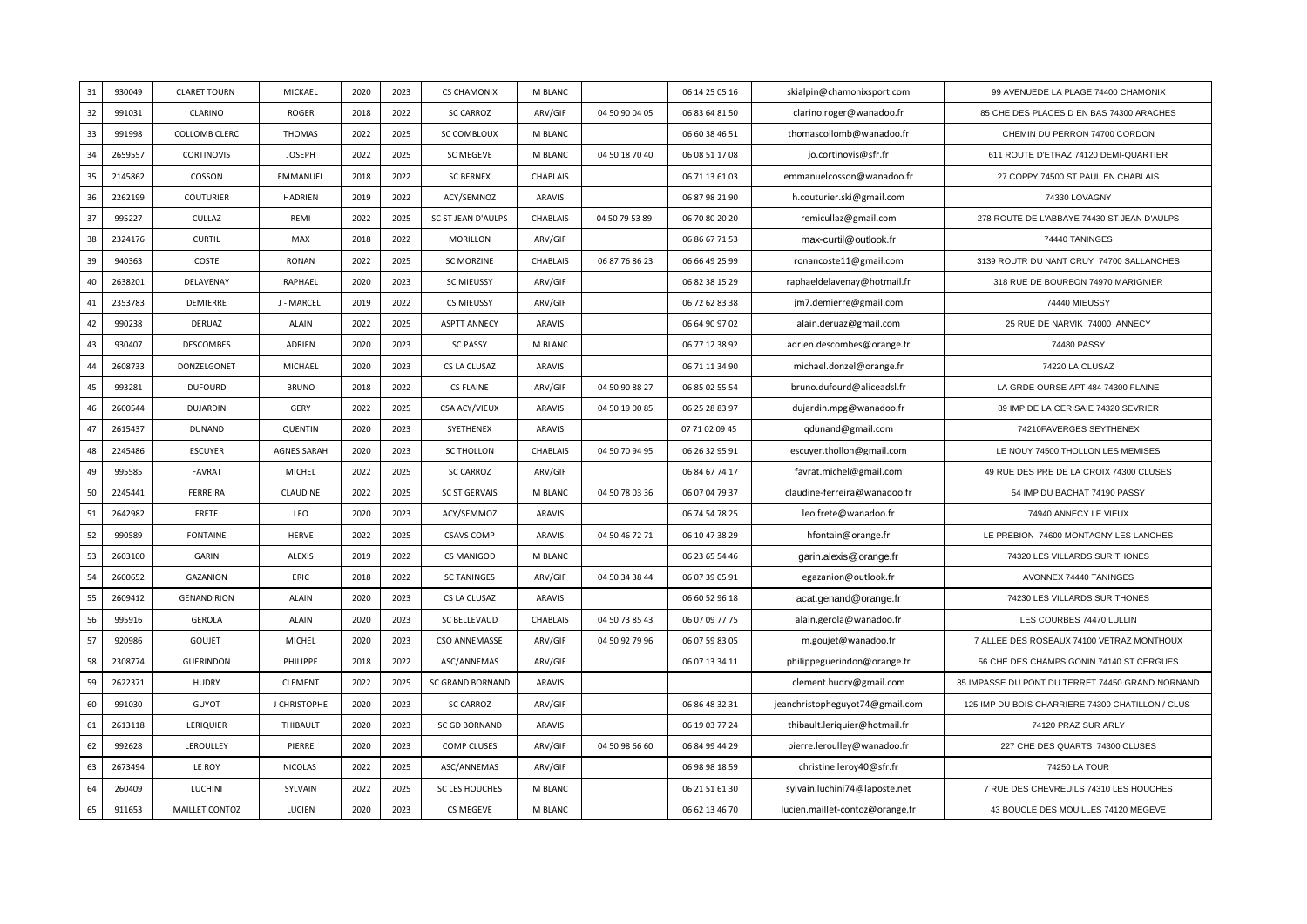| 31 | 930049  | <b>CLARET TOURN</b>  | MICKAEL        | 2020 | 2023 | <b>CS CHAMONIX</b>      | M BLANC         |                | 06 14 25 05 16 | skialpin@chamonixsport.com      | 99 AVENUEDE LA PLAGE 74400 CHAMONIX              |
|----|---------|----------------------|----------------|------|------|-------------------------|-----------------|----------------|----------------|---------------------------------|--------------------------------------------------|
| 32 | 991031  | CLARINO              | <b>ROGER</b>   | 2018 | 2022 | <b>SC CARROZ</b>        | ARV/GIF         | 04 50 90 04 05 | 06 83 64 81 50 | clarino.roger@wanadoo.fr        | 85 CHE DES PLACES D EN BAS 74300 ARACHES         |
| 33 | 991998  | <b>COLLOMB CLERC</b> | <b>THOMAS</b>  | 2022 | 2025 | SC COMBLOUX             | M BLANC         |                | 06 60 38 46 51 | thomascollomb@wanadoo.fr        | CHEMIN DU PERRON 74700 CORDON                    |
| 34 | 2659557 | <b>CORTINOVIS</b>    | <b>JOSEPH</b>  | 2022 | 2025 | SC MEGEVE               | M BLANC         | 04 50 18 70 40 | 06 08 51 17 08 | jo.cortinovis@sfr.fr            | 611 ROUTE D'ETRAZ 74120 DEMI-QUARTIER            |
| 35 | 2145862 | COSSON               | EMMANUEL       | 2018 | 2022 | <b>SC BERNEX</b>        | <b>CHABLAIS</b> |                | 06 71 13 61 03 | emmanuelcosson@wanadoo.fr       | 27 COPPY 74500 ST PAUL EN CHABLAIS               |
| 36 | 2262199 | <b>COUTURIER</b>     | <b>HADRIEN</b> | 2019 | 2022 | ACY/SEMNOZ              | ARAVIS          |                | 06 87 98 21 90 | h.couturier.ski@gmail.com       | 74330 LOVAGNY                                    |
| 37 | 995227  | CULLAZ               | REMI           | 2022 | 2025 | SC ST JEAN D'AULPS      | CHABLAIS        | 04 50 79 53 89 | 06 70 80 20 20 | remicullaz@gmail.com            | 278 ROUTE DE L'ABBAYE 74430 ST JEAN D'AULPS      |
| 38 | 2324176 | <b>CURTIL</b>        | MAX            | 2018 | 2022 | MORILLON                | ARV/GIF         |                | 06 86 67 71 53 | max-curtil@outlook.fr           | 74440 TANINGES                                   |
| 39 | 940363  | COSTE                | RONAN          | 2022 | 2025 | <b>SC MORZINE</b>       | CHABLAIS        | 06 87 76 86 23 | 06 66 49 25 99 | ronancoste11@gmail.com          | 3139 ROUTR DU NANT CRUY 74700 SALLANCHES         |
| 40 | 2638201 | DELAVENAY            | RAPHAEL        | 2020 | 2023 | <b>SC MIEUSSY</b>       | ARV/GIF         |                | 06 82 38 15 29 | raphaeldelavenay@hotmail.fr     | 318 RUE DE BOURBON 74970 MARIGNIER               |
| 41 | 2353783 | DEMIERRE             | J - MARCEL     | 2019 | 2022 | CS MIEUSSY              | ARV/GIF         |                | 06 72 62 83 38 | jm7.demierre@gmail.com          | 74440 MIEUSSY                                    |
| 42 | 990238  | <b>DERUAZ</b>        | <b>ALAIN</b>   | 2022 | 2025 | <b>ASPTT ANNECY</b>     | <b>ARAVIS</b>   |                | 06 64 90 97 02 | alain.deruaz@gmail.com          | 25 RUE DE NARVIK 74000 ANNECY                    |
| 43 | 930407  | <b>DESCOMBES</b>     | ADRIEN         | 2020 | 2023 | <b>SC PASSY</b>         | M BLANC         |                | 06 77 12 38 92 | adrien.descombes@orange.fr      | 74480 PASSY                                      |
| 44 | 2608733 | DONZELGONET          | MICHAEL        | 2020 | 2023 | CS LA CLUSAZ            | ARAVIS          |                | 06 71 11 34 90 | michael.donzel@orange.fr        | 74220 LA CLUSAZ                                  |
| 45 | 993281  | <b>DUFOURD</b>       | <b>BRUNO</b>   | 2018 | 2022 | CS FLAINE               | ARV/GIF         | 04 50 90 88 27 | 06 85 02 55 54 | bruno.dufourd@aliceadsl.fr      | LA GRDE OURSE APT 484 74300 FLAINE               |
| 46 | 2600544 | <b>DUJARDIN</b>      | GERY           | 2022 | 2025 | CSA ACY/VIEUX           | ARAVIS          | 04 50 19 00 85 | 06 25 28 83 97 | dujardin.mpg@wanadoo.fr         | 89 IMP DE LA CERISAIE 74320 SEVRIER              |
| 47 | 2615437 | <b>DUNAND</b>        | QUENTIN        | 2020 | 2023 | SYETHENEX               | ARAVIS          |                | 07 71 02 09 45 | qdunand@gmail.com               | 74210FAVERGES SEYTHENEX                          |
| 48 | 2245486 | ESCUYER              | AGNES SARAH    | 2020 | 2023 | <b>SC THOLLON</b>       | CHABLAIS        | 04 50 70 94 95 | 06 26 32 95 91 | escuyer.thollon@gmail.com       | LE NOUY 74500 THOLLON LES MEMISES                |
| 49 | 995585  | <b>FAVRAT</b>        | MICHEL         | 2022 | 2025 | <b>SC CARROZ</b>        | ARV/GIF         |                | 06 84 67 74 17 | favrat.michel@gmail.com         | 49 RUE DES PRE DE LA CROIX 74300 CLUSES          |
| 50 | 2245441 | FERREIRA             | CLAUDINE       | 2022 | 2025 | <b>SC ST GERVAIS</b>    | M BLANC         | 04 50 78 03 36 | 06 07 04 79 37 | claudine-ferreira@wanadoo.fr    | 54 IMP DU BACHAT 74190 PASSY                     |
| 51 | 2642982 | <b>FRETE</b>         | LEO            | 2020 | 2023 | ACY/SEMMOZ              | <b>ARAVIS</b>   |                | 06 74 54 78 25 | leo.frete@wanadoo.fr            | 74940 ANNECY LE VIEUX                            |
| 52 | 990589  | <b>FONTAINE</b>      | HERVE          | 2022 | 2025 | <b>CSAVS COMP</b>       | <b>ARAVIS</b>   | 04 50 46 72 71 | 06 10 47 38 29 | hfontain@orange.fr              | LE PREBION 74600 MONTAGNY LES LANCHES            |
| 53 | 2603100 | GARIN                | ALEXIS         | 2019 | 2022 | CS MANIGOD              | M BLANC         |                | 06 23 65 54 46 | garin.alexis@orange.fr          | 74320 LES VILLARDS SUR THONES                    |
| 54 | 2600652 | GAZANION             | ERIC           | 2018 | 2022 | <b>SC TANINGES</b>      | ARV/GIF         | 04 50 34 38 44 | 06 07 39 05 91 | egazanion@outlook.fr            | AVONNEX 74440 TANINGES                           |
| 55 | 2609412 | <b>GENAND RION</b>   | <b>ALAIN</b>   | 2020 | 2023 | CS LA CLUSAZ            | ARAVIS          |                | 06 60 52 96 18 | acat.genand@orange.fr           | 74230 LES VILLARDS SUR THONES                    |
| 56 | 995916  | GEROLA               | <b>ALAIN</b>   | 2020 | 2023 | <b>SC BELLEVAUD</b>     | CHABLAIS        | 04 50 73 85 43 | 06 07 09 77 75 | alain.gerola@wanadoo.fr         | LES COURBES 74470 LULLIN                         |
| 57 | 920986  | GOUJET               | MICHEL         | 2020 | 2023 | CSO ANNEMASSE           | ARV/GIF         | 04 50 92 79 96 | 06 07 59 83 05 | m.goujet@wanadoo.fr             | 7 ALLEE DES ROSEAUX 74100 VETRAZ MONTHOUX        |
| 58 | 2308774 | <b>GUERINDON</b>     | PHILIPPE       | 2018 | 2022 | ASC/ANNEMAS             | ARV/GIF         |                | 06 07 13 34 11 | philippeguerindon@orange.fr     | 56 CHE DES CHAMPS GONIN 74140 ST CERGUES         |
| 59 | 2622371 | <b>HUDRY</b>         | CLEMENT        | 2022 | 2025 | <b>SC GRAND BORNAND</b> | ARAVIS          |                |                | clement.hudry@gmail.com         | 85 IMPASSE DU PONT DU TERRET 74450 GRAND NORNAND |
| 60 | 991030  | <b>GUYOT</b>         | J CHRISTOPHE   | 2020 | 2023 | <b>SC CARROZ</b>        | ARV/GIF         |                | 06 86 48 32 31 | jeanchristopheguyot74@gmail.com | 125 IMP DU BOIS CHARRIERE 74300 CHATILLON / CLUS |
| 61 | 2613118 | LERIQUIER            | THIBAULT       | 2020 | 2023 | SC GD BORNAND           | <b>ARAVIS</b>   |                | 06 19 03 77 24 | thibault.leriquier@hotmail.fr   | 74120 PRAZ SUR ARLY                              |
| 62 | 992628  | LEROULLEY            | PIERRE         | 2020 | 2023 | <b>COMP CLUSES</b>      | ARV/GIF         | 04 50 98 66 60 | 06 84 99 44 29 | pierre.leroulley@wanadoo.fr     | 227 CHE DES QUARTS 74300 CLUSES                  |
| 63 | 2673494 | LE ROY               | <b>NICOLAS</b> | 2022 | 2025 | ASC/ANNEMAS             | ARV/GIF         |                | 06 98 98 18 59 | christine.leroy40@sfr.fr        | 74250 LA TOUR                                    |
| 64 | 260409  | LUCHINI              | SYLVAIN        | 2022 | 2025 | SC LES HOUCHES          | M BLANC         |                | 06 21 51 61 30 | sylvain.luchini74@laposte.net   | 7 RUE DES CHEVREUILS 74310 LES HOUCHES           |
| 65 | 911653  | MAILLET CONTOZ       | LUCIEN         | 2020 | 2023 | CS MEGEVE               | M BLANC         |                | 06 62 13 46 70 | lucien.maillet-contoz@orange.fr | 43 BOUCLE DES MOUILLES 74120 MEGEVE              |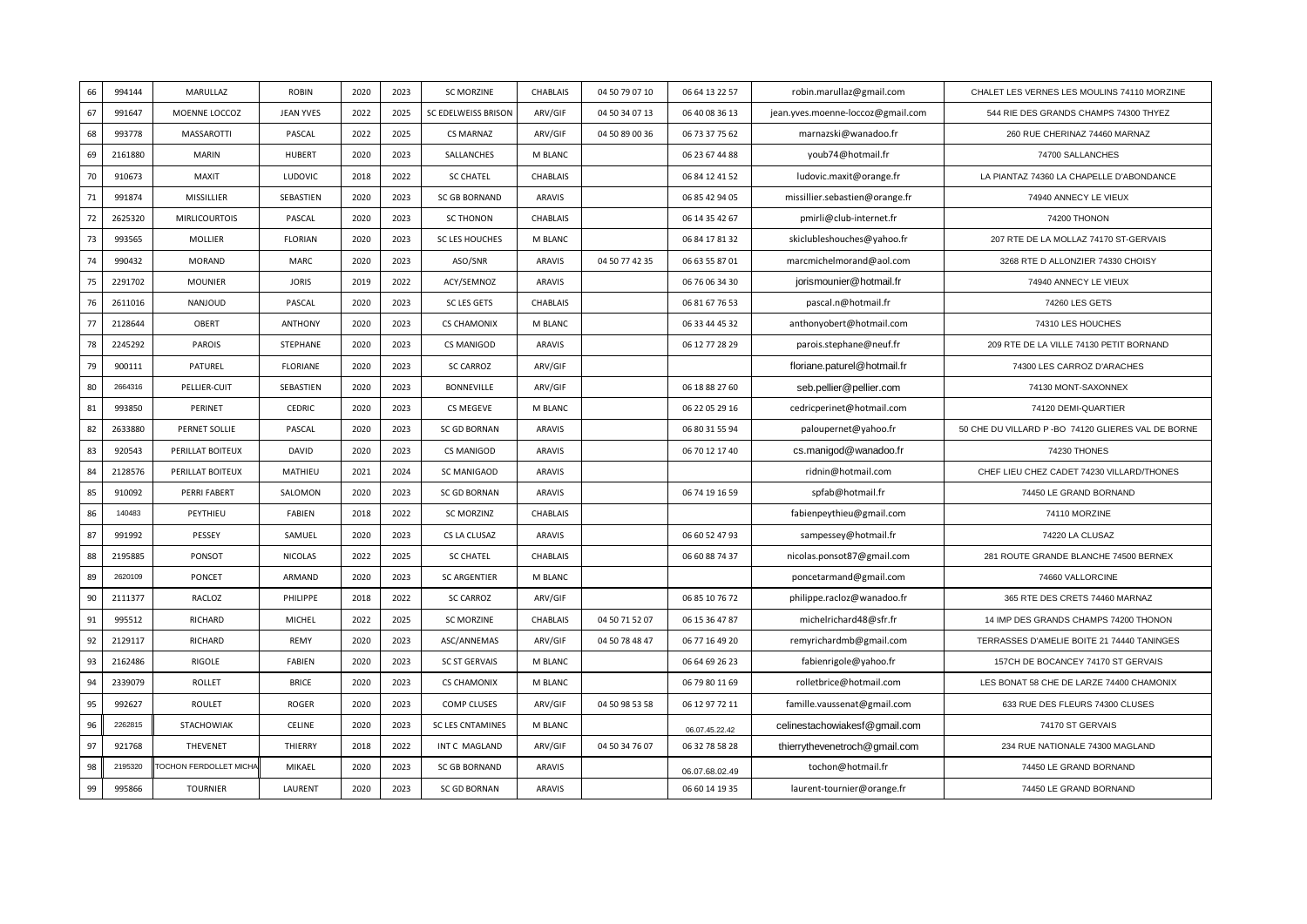| 66 | 994144  | MARULLAZ              | <b>ROBIN</b>     | 2020 | 2023 | <b>SC MORZINE</b>    | CHABLAIS      | 04 50 79 07 10 | 06 64 13 22 57 | robin.marullaz@gmail.com          | CHALET LES VERNES LES MOULINS 74110 MORZINE         |
|----|---------|-----------------------|------------------|------|------|----------------------|---------------|----------------|----------------|-----------------------------------|-----------------------------------------------------|
| 67 | 991647  | MOENNE LOCCOZ         | <b>JEAN YVES</b> | 2022 | 2025 | SC EDELWEISS BRISON  | ARV/GIF       | 04 50 34 07 13 | 06 40 08 36 13 | jean.yves.moenne-loccoz@gmail.com | 544 RIE DES GRANDS CHAMPS 74300 THYEZ               |
| 68 | 993778  | <b>MASSAROTTI</b>     | PASCAL           | 2022 | 2025 | <b>CS MARNAZ</b>     | ARV/GIF       | 04 50 89 00 36 | 06 73 37 75 62 | marnazski@wanadoo.fr              | 260 RUE CHERINAZ 74460 MARNAZ                       |
| 69 | 2161880 | <b>MARIN</b>          | HUBERT           | 2020 | 2023 | SALLANCHES           | M BLANC       |                | 06 23 67 44 88 | youb74@hotmail.fr                 | 74700 SALLANCHES                                    |
| 70 | 910673  | MAXIT                 | LUDOVIC          | 2018 | 2022 | <b>SC CHATEL</b>     | CHABLAIS      |                | 06 84 12 41 52 | ludovic.maxit@orange.fr           | LA PIANTAZ 74360 LA CHAPELLE D'ABONDANCE            |
| 71 | 991874  | MISSILLIER            | SEBASTIEN        | 2020 | 2023 | <b>SC GB BORNAND</b> | ARAVIS        |                | 06 85 42 94 05 | missillier.sebastien@orange.fr    | 74940 ANNECY LE VIEUX                               |
| 72 | 2625320 | <b>MIRLICOURTOIS</b>  | PASCAL           | 2020 | 2023 | <b>SC THONON</b>     | CHABLAIS      |                | 06 14 35 42 67 | pmirli@club-internet.fr           | 74200 THONON                                        |
| 73 | 993565  | MOLLIER               | <b>FLORIAN</b>   | 2020 | 2023 | SC LES HOUCHES       | M BLANC       |                | 06 84 17 81 32 | skiclubleshouches@yahoo.fr        | 207 RTE DE LA MOLLAZ 74170 ST-GERVAIS               |
| 74 | 990432  | <b>MORAND</b>         | <b>MARC</b>      | 2020 | 2023 | ASO/SNR              | ARAVIS        | 04 50 77 42 35 | 06 63 55 87 01 | marcmichelmorand@aol.com          | 3268 RTE D ALLONZIER 74330 CHOISY                   |
| 75 | 2291702 | <b>MOUNIER</b>        | <b>JORIS</b>     | 2019 | 2022 | ACY/SEMNOZ           | ARAVIS        |                | 06 76 06 34 30 | jorismounier@hotmail.fr           | 74940 ANNECY LE VIEUX                               |
| 76 | 2611016 | NANJOUD               | PASCAL           | 2020 | 2023 | SC LES GETS          | CHABLAIS      |                | 06 81 67 76 53 | pascal.n@hotmail.fr               | 74260 LES GETS                                      |
| 77 | 2128644 | OBERT                 | <b>ANTHONY</b>   | 2020 | 2023 | <b>CS CHAMONIX</b>   | M BLANC       |                | 06 33 44 45 32 | anthonyobert@hotmail.com          | 74310 LES HOUCHES                                   |
| 78 | 2245292 | <b>PAROIS</b>         | STEPHANE         | 2020 | 2023 | CS MANIGOD           | ARAVIS        |                | 06 12 77 28 29 | parois.stephane@neuf.fr           | 209 RTE DE LA VILLE 74130 PETIT BORNAND             |
| 79 | 900111  | PATUREL               | <b>FLORIANE</b>  | 2020 | 2023 | <b>SC CARROZ</b>     | ARV/GIF       |                |                | floriane.paturel@hotmail.fr       | 74300 LES CARROZ D'ARACHES                          |
| 80 | 2664316 | PELLIER-CUIT          | SEBASTIEN        | 2020 | 2023 | BONNEVILLE           | ARV/GIF       |                | 06 18 88 27 60 | seb.pellier@pellier.com           | 74130 MONT-SAXONNEX                                 |
| 81 | 993850  | PERINET               | <b>CEDRIC</b>    | 2020 | 2023 | CS MEGEVE            | M BLANC       |                | 06 22 05 29 16 | cedricperinet@hotmail.com         | 74120 DEMI-QUARTIER                                 |
| 82 | 2633880 | PERNET SOLLIE         | PASCAL           | 2020 | 2023 | <b>SC GD BORNAN</b>  | ARAVIS        |                | 06 80 31 55 94 | paloupernet@yahoo.fr              | 50 CHE DU VILLARD P - BO 74120 GLIERES VAL DE BORNE |
| 83 | 920543  | PERILLAT BOITEUX      | DAVID            | 2020 | 2023 | CS MANIGOD           | ARAVIS        |                | 06 70 12 17 40 | cs.manigod@wanadoo.fr             | 74230 THONES                                        |
| 84 | 2128576 | PERILLAT BOITEUX      | MATHIEU          | 2021 | 2024 | SC MANIGAOD          | ARAVIS        |                |                | ridnin@hotmail.com                | CHEF LIEU CHEZ CADET 74230 VILLARD/THONES           |
| 85 | 910092  | PERRI FABERT          | SALOMON          | 2020 | 2023 | <b>SC GD BORNAN</b>  | ARAVIS        |                | 06 74 19 16 59 | spfab@hotmail.fr                  | 74450 LE GRAND BORNAND                              |
| 86 | 140483  | PEYTHIEU              | FABIEN           | 2018 | 2022 | SC MORZINZ           | CHABLAIS      |                |                | fabienpeythieu@gmail.com          | 74110 MORZINE                                       |
| 87 | 991992  | PESSEY                | SAMUEL           | 2020 | 2023 | CS LA CLUSAZ         | ARAVIS        |                | 06 60 52 47 93 | sampessey@hotmail.fr              | 74220 LA CLUSAZ                                     |
| 88 | 2195885 | PONSOT                | <b>NICOLAS</b>   | 2022 | 2025 | <b>SC CHATEL</b>     | CHABLAIS      |                | 06 60 88 74 37 | nicolas.ponsot87@gmail.com        | 281 ROUTE GRANDE BLANCHE 74500 BERNEX               |
| 89 | 2620109 | <b>PONCET</b>         | ARMAND           | 2020 | 2023 | <b>SC ARGENTIER</b>  | M BLANC       |                |                | poncetarmand@gmail.com            | 74660 VALLORCINE                                    |
| 90 | 2111377 | RACLOZ                | PHILIPPE         | 2018 | 2022 | <b>SC CARROZ</b>     | ARV/GIF       |                | 06 85 10 76 72 | philippe.racloz@wanadoo.fr        | 365 RTE DES CRETS 74460 MARNAZ                      |
| 91 | 995512  | RICHARD               | <b>MICHEL</b>    | 2022 | 2025 | <b>SC MORZINE</b>    | CHABLAIS      | 04 50 71 52 07 | 06 15 36 47 87 | michelrichard48@sfr.fr            | 14 IMP DES GRANDS CHAMPS 74200 THONON               |
| 92 | 2129117 | RICHARD               | <b>REMY</b>      | 2020 | 2023 | ASC/ANNEMAS          | ARV/GIF       | 04 50 78 48 47 | 06 77 16 49 20 | remyrichardmb@gmail.com           | TERRASSES D'AMELIE BOITE 21 74440 TANINGES          |
| 93 | 2162486 | RIGOLE                | FABIEN           | 2020 | 2023 | <b>SC ST GERVAIS</b> | M BLANC       |                | 06 64 69 26 23 | fabienrigole@yahoo.fr             | 157CH DE BOCANCEY 74170 ST GERVAIS                  |
| 94 | 2339079 | <b>ROLLET</b>         | <b>BRICE</b>     | 2020 | 2023 | <b>CS CHAMONIX</b>   | M BLANC       |                | 06 79 80 11 69 | rolletbrice@hotmail.com           | LES BONAT 58 CHE DE LARZE 74400 CHAMONIX            |
| 95 | 992627  | <b>ROULET</b>         | <b>ROGER</b>     | 2020 | 2023 | <b>COMP CLUSES</b>   | ARV/GIF       | 04 50 98 53 58 | 06 12 97 72 11 | famille.vaussenat@gmail.com       | 633 RUE DES FLEURS 74300 CLUSES                     |
| 96 | 2262815 | STACHOWIAK            | CELINE           | 2020 | 2023 | SC LES CNTAMINES     | M BLANC       |                | 06.07.45.22.42 | celinestachowiakesf@gmail.com     | 74170 ST GERVAIS                                    |
| 97 | 921768  | THEVENET              | THIERRY          | 2018 | 2022 | INT C MAGLAND        | ARV/GIF       | 04 50 34 76 07 | 06 32 78 58 28 | thierrythevenetroch@gmail.com     | 234 RUE NATIONALE 74300 MAGLAND                     |
| 98 | 2195320 | OCHON FERDOLLET MICHA | MIKAEL           | 2020 | 2023 | <b>SC GB BORNAND</b> | <b>ARAVIS</b> |                | 06.07.68.02.49 | tochon@hotmail.fr                 | 74450 LE GRAND BORNAND                              |
|    |         |                       |                  | 2020 | 2023 | <b>SC GD BORNAN</b>  | <b>ARAVIS</b> |                | 06 60 14 19 35 | laurent-tournier@orange.fr        | 74450 LE GRAND BORNAND                              |